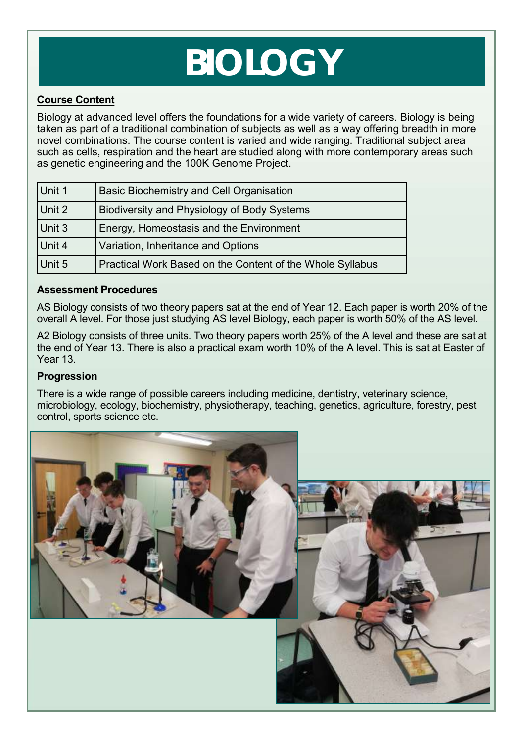# **BIOLOGY**

# **Course Content**

Biology at advanced level offers the foundations for a wide variety of careers. Biology is being taken as part of a traditional combination of subjects as well as a way offering breadth in more novel combinations. The course content is varied and wide ranging. Traditional subject area such as cells, respiration and the heart are studied along with more contemporary areas such as genetic engineering and the 100K Genome Project.

| Unit 1 | <b>Basic Biochemistry and Cell Organisation</b>           |
|--------|-----------------------------------------------------------|
| Unit 2 | Biodiversity and Physiology of Body Systems               |
| Unit 3 | Energy, Homeostasis and the Environment                   |
| Unit 4 | Variation, Inheritance and Options                        |
| Unit 5 | Practical Work Based on the Content of the Whole Syllabus |

### **Assessment Procedures**

AS Biology consists of two theory papers sat at the end of Year 12. Each paper is worth 20% of the overall A level. For those just studying AS level Biology, each paper is worth 50% of the AS level.

A2 Biology consists of three units. Two theory papers worth 25% of the A level and these are sat at the end of Year 13. There is also a practical exam worth 10% of the A level. This is sat at Easter of Year 13.

### **Progression**

There is a wide range of possible careers including medicine, dentistry, veterinary science, microbiology, ecology, biochemistry, physiotherapy, teaching, genetics, agriculture, forestry, pest control, sports science etc.

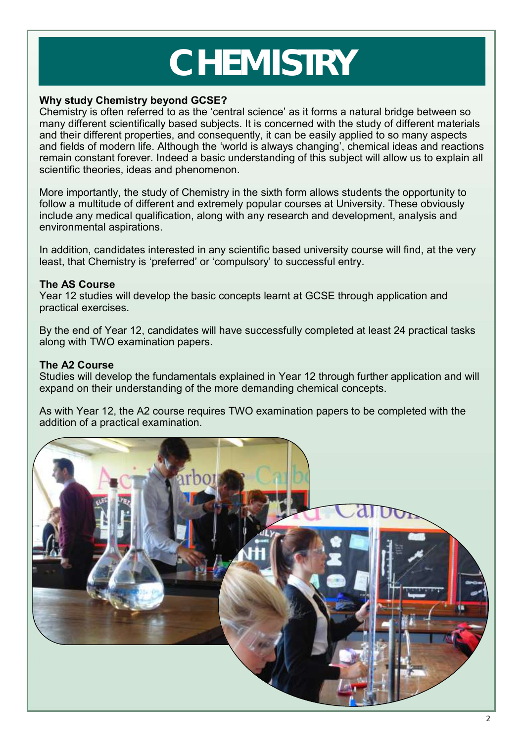# **CHEMISTRY**

### **Why study Chemistry beyond GCSE?**

Chemistry is often referred to as the 'central science' as it forms a natural bridge between so many different scientifically based subjects. It is concerned with the study of different materials and their different properties, and consequently, it can be easily applied to so many aspects and fields of modern life. Although the 'world is always changing', chemical ideas and reactions remain constant forever. Indeed a basic understanding of this subject will allow us to explain all scientific theories, ideas and phenomenon.

More importantly, the study of Chemistry in the sixth form allows students the opportunity to follow a multitude of different and extremely popular courses at University. These obviously include any medical qualification, along with any research and development, analysis and environmental aspirations.

In addition, candidates interested in any scientific based university course will find, at the very least, that Chemistry is 'preferred' or 'compulsory' to successful entry.

### **The AS Course**

Year 12 studies will develop the basic concepts learnt at GCSE through application and practical exercises.

By the end of Year 12, candidates will have successfully completed at least 24 practical tasks along with TWO examination papers.

## **The A2 Course**

Studies will develop the fundamentals explained in Year 12 through further application and will expand on their understanding of the more demanding chemical concepts.

As with Year 12, the A2 course requires TWO examination papers to be completed with the addition of a practical examination.